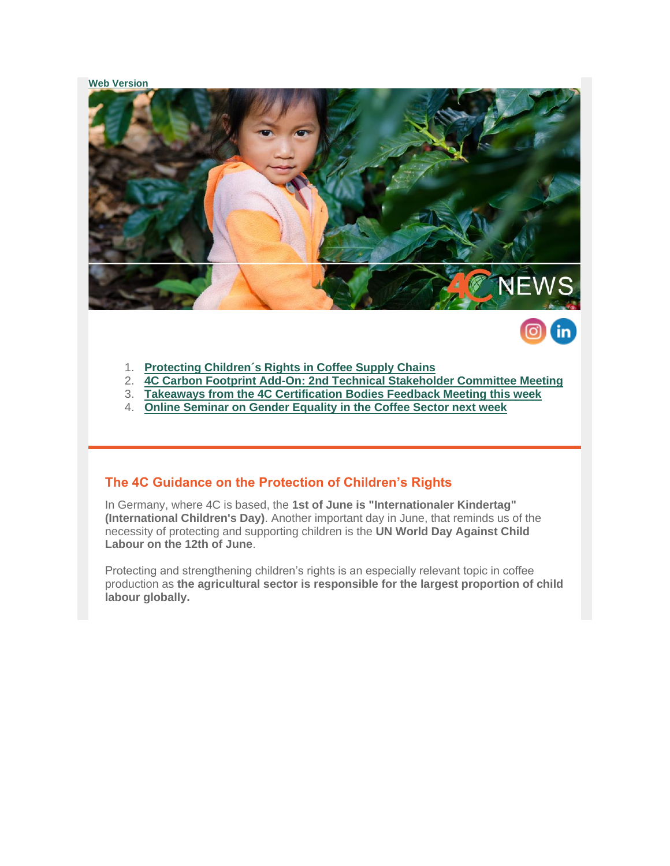### **[Web Version](https://amxe.net/io0aec4n-i3kmfjtt-9rmfmvnr-blk)**





- 1. **[Protecting Children´s Rights in Coffee Supply Chains](#page-0-0)**
- 2. **[4C Carbon Footprint Add-On: 2nd Technical Stakeholder Committee Meeting](#page-1-0)**
- 3. **[Takeaways from the 4C Certification Bodies Feedback Meeting this week](#page-2-0)**
- 4. **[Online Seminar on Gender Equality in the Coffee Sector next week](#page-2-1)**

## <span id="page-0-0"></span>**The 4C Guidance on the Protection of Children's Rights**

In Germany, where 4C is based, the **1st of June is "Internationaler Kindertag" (International Children's Day)**. Another important day in June, that reminds us of the necessity of protecting and supporting children is the **UN World Day Against Child Labour on the 12th of June**.

Protecting and strengthening children's rights is an especially relevant topic in coffee production as **the agricultural sector is responsible for the largest proportion of child labour globally.**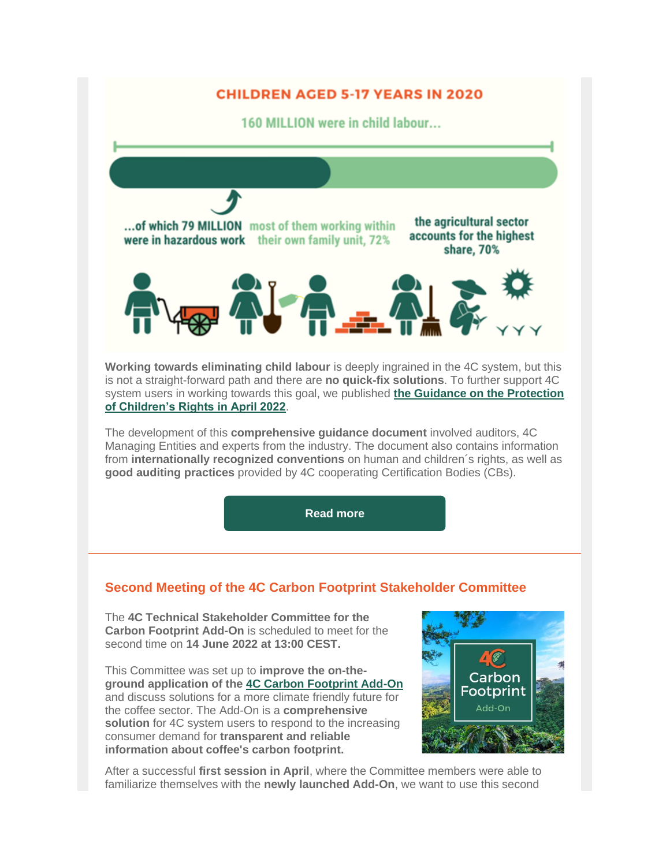

The development of this **comprehensive guidance document** involved auditors, 4C Managing Entities and experts from the industry. The document also contains information from **internationally recognized conventions** on human and children´s rights, as well as **good auditing practices** provided by 4C cooperating Certification Bodies (CBs).

**[Read more](https://amxe.net/io0aec4n-i3kmfjtt-tjvvordf-ea5)**

# <span id="page-1-0"></span>**Second Meeting of the 4C Carbon Footprint Stakeholder Committee**

The **4C Technical Stakeholder Committee for the Carbon Footprint Add-On** is scheduled to meet for the second time on **14 June 2022 at 13:00 CEST.**

This Committee was set up to **improve the on-theground application of the [4C Carbon Footprint Add-On](https://amxe.net/io0aec4n-i3kmfjtt-xnvn6mmb-xg0)** and discuss solutions for a more climate friendly future for the coffee sector. The Add-On is a **comprehensive solution** for 4C system users to respond to the increasing consumer demand for **transparent and reliable information about coffee's carbon footprint.**

![](_page_1_Picture_6.jpeg)

After a successful **first session in April**, where the Committee members were able to familiarize themselves with the **newly launched Add-On**, we want to use this second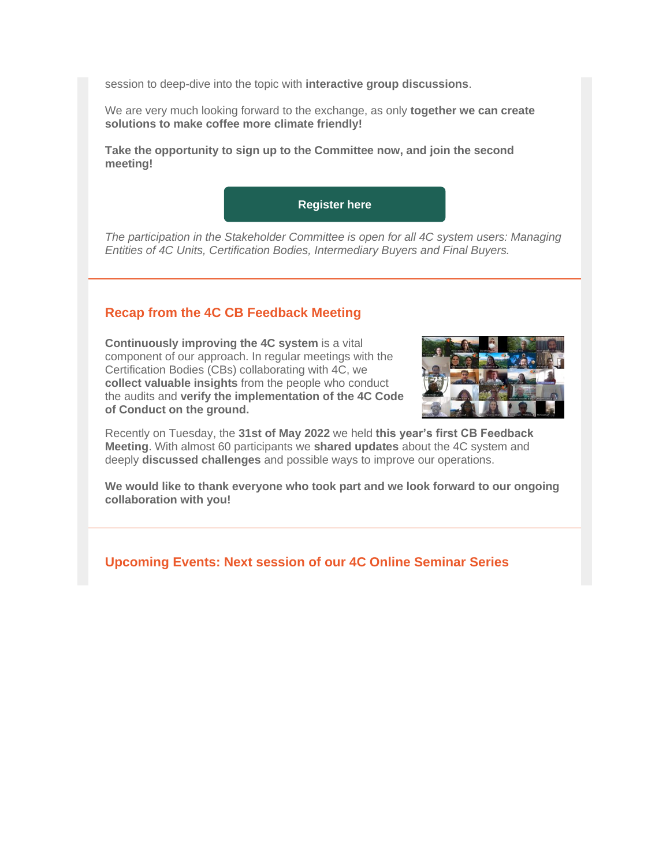session to deep-dive into the topic with **interactive group discussions**.

We are very much looking forward to the exchange, as only **together we can create solutions to make coffee more climate friendly!**

**Take the opportunity to sign up to the Committee now, and join the second meeting!**

![](_page_2_Picture_3.jpeg)

*The participation in the Stakeholder Committee is open for all 4C system users: Managing Entities of 4C Units, Certification Bodies, Intermediary Buyers and Final Buyers.*

# <span id="page-2-0"></span>**Recap from the 4C CB Feedback Meeting**

**Continuously improving the 4C system** is a vital component of our approach. In regular meetings with the Certification Bodies (CBs) collaborating with 4C, we **collect valuable insights** from the people who conduct the audits and **verify the implementation of the 4C Code of Conduct on the ground.**

![](_page_2_Picture_7.jpeg)

Recently on Tuesday, the **31st of May 2022** we held **this year's first CB Feedback Meeting**. With almost 60 participants we **shared updates** about the 4C system and deeply **discussed challenges** and possible ways to improve our operations.

**We would like to thank everyone who took part and we look forward to our ongoing collaboration with you!**

<span id="page-2-1"></span>**Upcoming Events: Next session of our 4C Online Seminar Series**